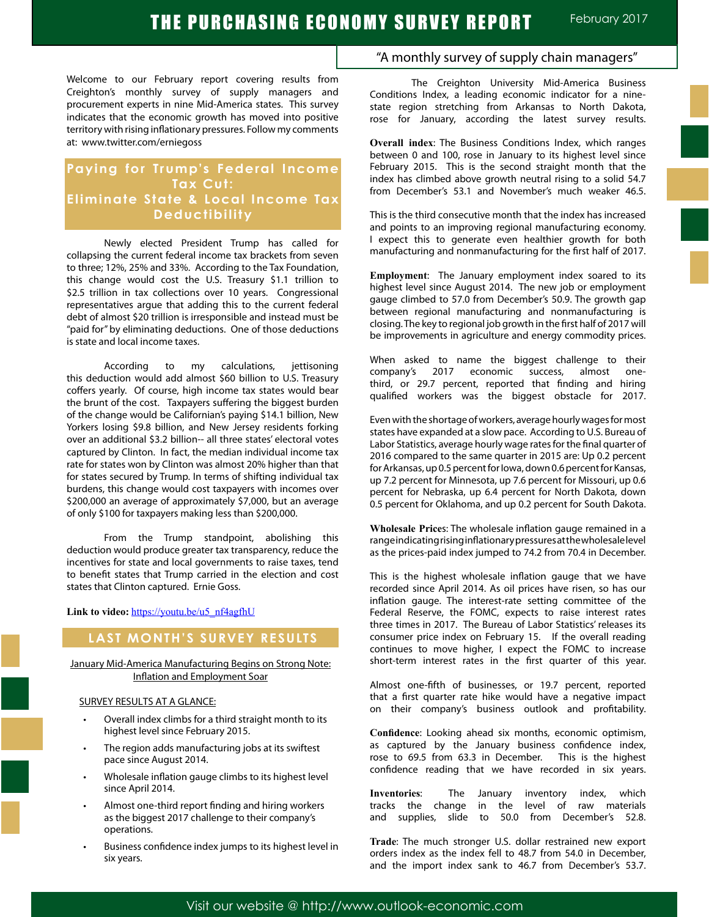Welcome to our February report covering results from Creighton's monthly survey of supply managers and procurement experts in nine Mid-America states. This survey indicates that the economic growth has moved into positive territory with rising inflationary pressures. Follow my comments at: www.twitter.com/erniegoss

## **Paying for Trump's Federal Income Tax Cut: Eliminate State & Local Income Tax Deductibility**

Newly elected President Trump has called for collapsing the current federal income tax brackets from seven to three; 12%, 25% and 33%. According to the Tax Foundation, this change would cost the U.S. Treasury \$1.1 trillion to \$2.5 trillion in tax collections over 10 years. Congressional representatives argue that adding this to the current federal debt of almost \$20 trillion is irresponsible and instead must be "paid for" by eliminating deductions. One of those deductions is state and local income taxes.

According to my calculations, jettisoning this deduction would add almost \$60 billion to U.S. Treasury coffers yearly. Of course, high income tax states would bear the brunt of the cost. Taxpayers suffering the biggest burden of the change would be Californian's paying \$14.1 billion, New Yorkers losing \$9.8 billion, and New Jersey residents forking over an additional \$3.2 billion-- all three states' electoral votes captured by Clinton. In fact, the median individual income tax rate for states won by Clinton was almost 20% higher than that for states secured by Trump. In terms of shifting individual tax burdens, this change would cost taxpayers with incomes over \$200,000 an average of approximately \$7,000, but an average of only \$100 for taxpayers making less than \$200,000.

From the Trump standpoint, abolishing this deduction would produce greater tax transparency, reduce the incentives for state and local governments to raise taxes, tend to benefit states that Trump carried in the election and cost states that Clinton captured. Ernie Goss.

Link to video: https://youtu.be/u5\_nf4agfhU

## **LAST MONTH'S SURVEY RESULTS**

January Mid-America Manufacturing Begins on Strong Note: Inflation and Employment Soar

#### SURVEY RESULTS AT A GLANCE:

- Overall index climbs for a third straight month to its highest level since February 2015.
- The region adds manufacturing jobs at its swiftest pace since August 2014.
- Wholesale inflation gauge climbs to its highest level since April 2014.
- Almost one-third report finding and hiring workers as the biggest 2017 challenge to their company's operations.
- Business confidence index jumps to its highest level in six years.

## "A monthly survey of supply chain managers"

The Creighton University Mid-America Business Conditions Index, a leading economic indicator for a ninestate region stretching from Arkansas to North Dakota, rose for January, according the latest survey results.

**Overall index**: The Business Conditions Index, which ranges between 0 and 100, rose in January to its highest level since February 2015. This is the second straight month that the index has climbed above growth neutral rising to a solid 54.7 from December's 53.1 and November's much weaker 46.5.

This is the third consecutive month that the index has increased and points to an improving regional manufacturing economy. I expect this to generate even healthier growth for both manufacturing and nonmanufacturing for the first half of 2017.

**Employment**: The January employment index soared to its highest level since August 2014. The new job or employment gauge climbed to 57.0 from December's 50.9. The growth gap between regional manufacturing and nonmanufacturing is closing. The key to regional job growth in the first half of 2017 will be improvements in agriculture and energy commodity prices.

When asked to name the biggest challenge to their company's 2017 economic success, almost onethird, or 29.7 percent, reported that finding and hiring qualified workers was the biggest obstacle for 2017.

Even with the shortage of workers, average hourly wages for most states have expanded at a slow pace. According to U.S. Bureau of Labor Statistics, average hourly wage rates for the final quarter of 2016 compared to the same quarter in 2015 are: Up 0.2 percent for Arkansas, up 0.5 percent for Iowa, down 0.6 percent for Kansas, up 7.2 percent for Minnesota, up 7.6 percent for Missouri, up 0.6 percent for Nebraska, up 6.4 percent for North Dakota, down 0.5 percent for Oklahoma, and up 0.2 percent for South Dakota.

**Wholesale Price**s: The wholesale inflation gauge remained in a range indicating rising inflationary pressures at the wholesale level as the prices-paid index jumped to 74.2 from 70.4 in December.

This is the highest wholesale inflation gauge that we have recorded since April 2014. As oil prices have risen, so has our inflation gauge. The interest-rate setting committee of the Federal Reserve, the FOMC, expects to raise interest rates three times in 2017. The Bureau of Labor Statistics' releases its consumer price index on February 15. If the overall reading continues to move higher, I expect the FOMC to increase short-term interest rates in the first quarter of this year.

Almost one-fifth of businesses, or 19.7 percent, reported that a first quarter rate hike would have a negative impact on their company's business outlook and profitability.

**Confidence**: Looking ahead six months, economic optimism, as captured by the January business confidence index, rose to 69.5 from 63.3 in December. This is the highest confidence reading that we have recorded in six years.

**Inventories:** The January inventory index, which tracks the change in the level of raw materials in the level of raw materials and supplies, slide to 50.0 from December's 52.8.

**Trade**: The much stronger U.S. dollar restrained new export orders index as the index fell to 48.7 from 54.0 in December, and the import index sank to 46.7 from December's 53.7.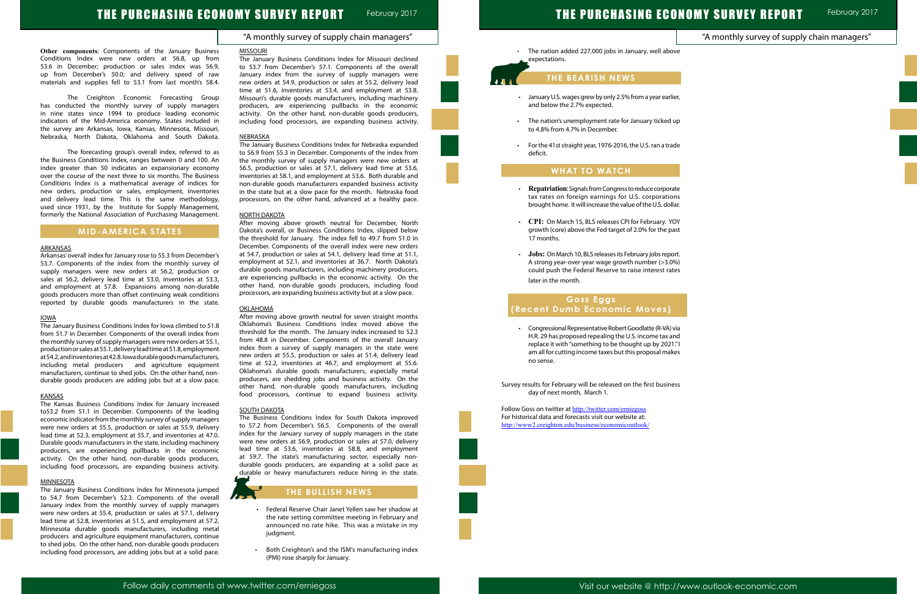# THE PURCHASING ECONOMY SURVEY REPORT

## "A monthly survey of supply chain managers"

February 2017

|                      | "A monthly survey of supply chain managers" |  |
|----------------------|---------------------------------------------|--|
| ve                   |                                             |  |
|                      |                                             |  |
| er,                  |                                             |  |
| up                   |                                             |  |
| de                   |                                             |  |
|                      |                                             |  |
|                      |                                             |  |
| ıte<br>ns            |                                             |  |
| ar.<br>YC            |                                             |  |
| ast                  |                                             |  |
| rt.<br>%)            |                                             |  |
| es:                  |                                             |  |
|                      |                                             |  |
|                      |                                             |  |
| via<br>nd            |                                             |  |
| $\rlap{.}''$ l<br>es |                                             |  |
|                      |                                             |  |
| ess.                 |                                             |  |
|                      |                                             |  |
|                      |                                             |  |
|                      |                                             |  |
|                      |                                             |  |
|                      |                                             |  |

**Other components**: Components of the January Business Conditions Index were new orders at 56.8, up from 53.6 in December; production or sales index was 56.9, up from December's 50.0; and delivery speed of raw materials and supplies fell to 53.1 from last month's 58.4.

The Creighton Economic Forecasting Group has conducted the monthly survey of supply managers in nine states since 1994 to produce leading economic indicators of the Mid-America economy. States included in the survey are Arkansas, Iowa, Kansas, Minnesota, Missouri, Nebraska, North Dakota, Oklahoma and South Dakota.

The forecasting group's overall index, referred to as the Business Conditions Index, ranges between 0 and 100. An index greater than 50 indicates an expansionary economy over the course of the next three to six months. The Business Conditions Index is a mathematical average of indices for new orders, production or sales, employment, inventories and delivery lead time. This is the same methodology, used since 1931, by the Institute for Supply Management, formerly the National Association of Purchasing Management.

## **MID-AMERICA STATES**

#### ARKANSAS

Arkansas' overall index for January rose to 55.3 from December's 53.7. Components of the index from the monthly survey of supply managers were new orders at 56.2, production or sales at 56.2, delivery lead time at 53.0, inventories at 53.3, and employment at 57.8. Expansions among non-durable goods producers more than offset continuing weak conditions reported by durable goods manufacturers in the state.

#### IOWA

The January Business Conditions Index for Iowa climbed to 51.8 from 51.7 in December. Components of the overall index from the monthly survey of supply managers were new orders at 55.1, production or sales at 55.1, delivery lead time at 51.8, employment at 54.2, and inventories at 42.8. Iowa durable goods manufacturers, including metal producers and agriculture equipment manufacturers, continue to shed jobs. On the other hand, nondurable goods producers are adding jobs but at a slow pace.

#### **KANSAS**

The Kansas Business Conditions Index for January increased to53.2 from 51.1 in December. Components of the leading economic indicator from the monthly survey of supply managers were new orders at 55.5, production or sales at 55.9, delivery lead time at 52.3, employment at 55.7, and inventories at 47.0. Durable goods manufacturers in the state, including machinery producers, are experiencing pullbacks in the economic activity. On the other hand, non-durable goods producers, including food processors, are expanding business activity.

#### MINNESOTA

The January Business Conditions Index for Minnesota jumped to 54.7 from December's 52.3. Components of the overall January index from the monthly survey of supply managers were new orders at 55.4, production or sales at 57.1, delivery lead time at 52.8, inventories at 51.5, and employment at 57.2. Minnesota durable goods manufacturers, including metal producers and agriculture equipment manufacturers, continue to shed jobs. On the other hand, non-durable goods producers including food processors, are adding jobs but at a solid pace.

The nation added 227,000 jobs in January, well abo expectations.

- January U.S. wages grew by only 2.5% from a year earlig and below the 2.7% expected.
- The nation's unemployment rate for January ticked to 4.8% from 4.7% in December.
- For the 41st straight year, 1976-2016, the U.S. ran a trade deficit.

#### MISSOURI

- **Repatriation**: Signals from Congress to reduce corpora tax rates on foreign earnings for U.S. corporation brought home. It will increase the value of the U.S. dolla
- CPI: On March 15, BLS releases CPI for February. YO growth (core) above the Fed target of 2.0% for the pa 17 months.
- **Jobs:** On March 10, BLS releases its February jobs repo A strong year-over-year wage growth number (>3.0%) could push the Federal Reserve to raise interest rat later in the month.

The January Business Conditions Index for Missouri declined to 53.7 from December's 57.1. Components of the overall January index from the survey of supply managers were new orders at 54.9, production or sales at 55.2, delivery lead time at 51.6, inventories at 53.4, and employment at 53.8. Missouri's durable goods manufacturers, including machinery producers, are experiencing pullbacks in the economic activity. On the other hand, non-durable goods producers, including food processors, are expanding business activity.

> • Congressional Representative Robert Goodlatte (R-VA) v H.R. 29 has proposed repealing the U.S. income tax and replace it with "something to be thought up by 2021 am all for cutting income taxes but this proposal mak no sense.

Survey results for February will be released on the first busine day of next month, March 1.

Follow Goss on twitter at http://twitter.com/erniegoss For historical data and forecasts visit our website at: http://www2.creighton.edu/business/economicoutlook/

#### NEBRASKA

The January Business Conditions Index for Nebraska expanded to 56.9 from 55.3 in December. Components of the index from the monthly survey of supply managers were new orders at 56.5, production or sales at 57.1, delivery lead time at 53.6, inventories at 58.1, and employment at 53.6. Both durable and non-durable goods manufacturers expanded business activity in the state but at a slow pace for the month. Nebraska food processors, on the other hand, advanced at a healthy pace.

#### NORTH DAKOTA

After moving above growth neutral for December, North Dakota's overall, or Business Conditions Index, slipped below the threshold for January. The index fell to 49.7 from 51.0 in December. Components of the overall index were new orders at 54.7, production or sales at 54.1, delivery lead time at 51.1, employment at 52.1, and inventories at 36.7. North Dakota's durable goods manufacturers, including machinery producers, are experiencing pullbacks in the economic activity. On the other hand, non-durable goods producers, including food processors, are expanding business activity but at a slow pace.

#### OKLAHOMA

After moving above growth neutral for seven straight months Oklahoma's Business Conditions Index moved above the threshold for the month. The January index increased to 52.3 from 48.8 in December. Components of the overall January index from a survey of supply managers in the state were new orders at 55.5, production or sales at 51.4, delivery lead time at 52.2, inventories at 46.7, and employment at 55.6. Oklahoma's durable goods manufacturers, especially metal producers, are shedding jobs and business activity. On the other hand, non-durable goods manufacturers, including food processors, continue to expand business activity.

#### SOUTH DAKOTA

The Business Conditions Index for South Dakota improved to 57.2 from December's 56.5. Components of the overall index for the January survey of supply managers in the state were new orders at 56.9, production or sales at 57.0, delivery lead time at 53.6, inventories at 58.8, and employment at 59.7. The state's manufacturing sector, especially nondurable goods producers, are expanding at a solid pace as durable or heavy manufacturers reduce hiring in the state.

## **THE BULLISH NEWS**

- • Federal Reserve Chair Janet Yellen saw her shadow at the rate setting committee meeting in February and announced no rate hike. This was a mistake in my judgment.
- • Both Creighton's and the ISM's manufacturing index (PMI) rose sharply for January.

## **THE BEARISH NEWS**

## **WHAT TO WATCH**

l

Ï

## **Goss Eggs (Recent Dumb Economic Moves)**